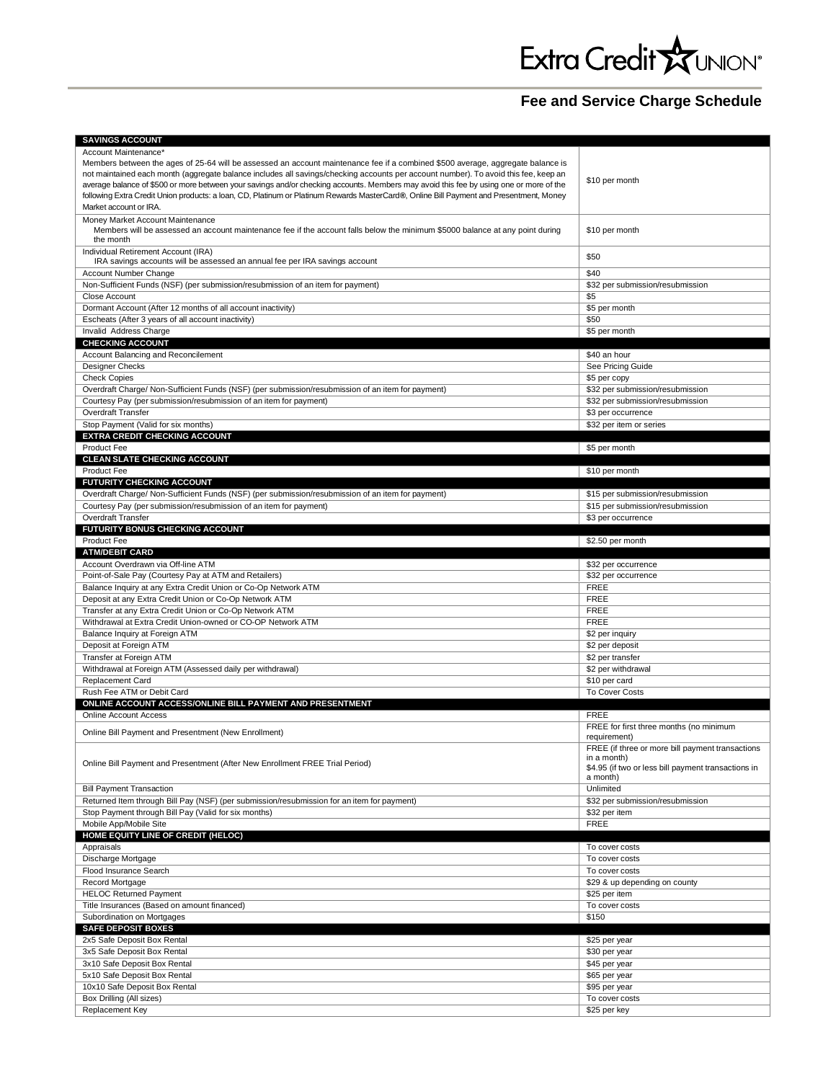## **Fee and Service Charge Schedule**

| Account Maintenance*                                                                                                                    |                                                     |
|-----------------------------------------------------------------------------------------------------------------------------------------|-----------------------------------------------------|
| Members between the ages of 25-64 will be assessed an account maintenance fee if a combined \$500 average, aggregate balance is         |                                                     |
| not maintained each month (aggregate balance includes all savings/checking accounts per account number). To avoid this fee, keep an     |                                                     |
| average balance of \$500 or more between your savings and/or checking accounts. Members may avoid this fee by using one or more of the  | \$10 per month                                      |
| following Extra Credit Union products: a loan, CD, Platinum or Platinum Rewards MasterCard®, Online Bill Payment and Presentment, Money |                                                     |
| Market account or IRA.                                                                                                                  |                                                     |
| Money Market Account Maintenance                                                                                                        |                                                     |
| Members will be assessed an account maintenance fee if the account falls below the minimum \$5000 balance at any point during           | \$10 per month                                      |
| the month                                                                                                                               |                                                     |
| Individual Retirement Account (IRA)                                                                                                     |                                                     |
| IRA savings accounts will be assessed an annual fee per IRA savings account                                                             | \$50                                                |
| Account Number Change                                                                                                                   | \$40                                                |
| Non-Sufficient Funds (NSF) (per submission/resubmission of an item for payment)                                                         | \$32 per submission/resubmission                    |
| Close Account                                                                                                                           | \$5                                                 |
| Dormant Account (After 12 months of all account inactivity)                                                                             | \$5 per month                                       |
| Escheats (After 3 years of all account inactivity)                                                                                      | \$50                                                |
| Invalid Address Charge                                                                                                                  | \$5 per month                                       |
|                                                                                                                                         |                                                     |
| <b>CHECKING ACCOUNT</b>                                                                                                                 |                                                     |
| Account Balancing and Reconcilement                                                                                                     | \$40 an hour                                        |
| Designer Checks                                                                                                                         | See Pricing Guide                                   |
| <b>Check Copies</b>                                                                                                                     | \$5 per copy                                        |
| Overdraft Charge/ Non-Sufficient Funds (NSF) (per submission/resubmission of an item for payment)                                       | \$32 per submission/resubmission                    |
| Courtesy Pay (per submission/resubmission of an item for payment)                                                                       | \$32 per submission/resubmission                    |
| Overdraft Transfer                                                                                                                      | \$3 per occurrence                                  |
| Stop Payment (Valid for six months)                                                                                                     | \$32 per item or series                             |
| EXTRA CREDIT CHECKING ACCOUNT                                                                                                           |                                                     |
| Product Fee                                                                                                                             | \$5 per month                                       |
| <b>CLEAN SLATE CHECKING ACCOUNT</b>                                                                                                     |                                                     |
| <b>Product Fee</b>                                                                                                                      | \$10 per month                                      |
| FUTURITY CHECKING ACCOUNT                                                                                                               |                                                     |
| Overdraft Charge/ Non-Sufficient Funds (NSF) (per submission/resubmission of an item for payment)                                       | \$15 per submission/resubmission                    |
|                                                                                                                                         | \$15 per submission/resubmission                    |
| Courtesy Pay (per submission/resubmission of an item for payment)                                                                       |                                                     |
| Overdraft Transfer                                                                                                                      | \$3 per occurrence                                  |
| <b>FUTURITY BONUS CHECKING ACCOUNT</b>                                                                                                  |                                                     |
| Product Fee                                                                                                                             | \$2.50 per month                                    |
| <b>ATM/DEBIT CARD</b>                                                                                                                   |                                                     |
| Account Overdrawn via Off-line ATM                                                                                                      | \$32 per occurrence                                 |
| Point-of-Sale Pay (Courtesy Pay at ATM and Retailers)                                                                                   | \$32 per occurrence                                 |
| Balance Inquiry at any Extra Credit Union or Co-Op Network ATM                                                                          | <b>FREE</b>                                         |
| Deposit at any Extra Credit Union or Co-Op Network ATM                                                                                  | <b>FREE</b>                                         |
| Transfer at any Extra Credit Union or Co-Op Network ATM                                                                                 | <b>FREE</b>                                         |
| Withdrawal at Extra Credit Union-owned or CO-OP Network ATM                                                                             | <b>FREE</b>                                         |
| Balance Inquiry at Foreign ATM                                                                                                          | \$2 per inquiry                                     |
| Deposit at Foreign ATM                                                                                                                  |                                                     |
|                                                                                                                                         |                                                     |
|                                                                                                                                         | \$2 per deposit                                     |
| Transfer at Foreign ATM                                                                                                                 | \$2 per transfer                                    |
| Withdrawal at Foreign ATM (Assessed daily per withdrawal)                                                                               | \$2 per withdrawal                                  |
| Replacement Card                                                                                                                        | \$10 per card                                       |
| Rush Fee ATM or Debit Card                                                                                                              | <b>To Cover Costs</b>                               |
| ONLINE ACCOUNT ACCESS/ONLINE BILL PAYMENT AND PRESENTMENT                                                                               |                                                     |
| <b>Online Account Access</b>                                                                                                            | <b>FREE</b>                                         |
|                                                                                                                                         | FREE for first three months (no minimum             |
| Online Bill Payment and Presentment (New Enrollment)                                                                                    | requirement)                                        |
|                                                                                                                                         | FREE (if three or more bill payment transactions    |
| Online Bill Payment and Presentment (After New Enrollment FREE Trial Period)                                                            | in a month)                                         |
|                                                                                                                                         | \$4.95 (if two or less bill payment transactions in |
|                                                                                                                                         | a month)                                            |
| <b>Bill Payment Transaction</b>                                                                                                         | Unlimited                                           |
| Returned Item through Bill Pay (NSF) (per submission/resubmission for an item for payment)                                              | \$32 per submission/resubmission                    |
| Stop Payment through Bill Pay (Valid for six months)                                                                                    | \$32 per item                                       |
| Mobile App/Mobile Site                                                                                                                  | <b>FREE</b>                                         |
| HOME EQUITY LINE OF CREDIT (HELOC)                                                                                                      |                                                     |
| Appraisals                                                                                                                              | To cover costs                                      |
| Discharge Mortgage                                                                                                                      | To cover costs                                      |
| Flood Insurance Search                                                                                                                  | To cover costs                                      |
| Record Mortgage                                                                                                                         | \$29 & up depending on county                       |
| <b>HELOC Returned Payment</b>                                                                                                           | \$25 per item                                       |
|                                                                                                                                         |                                                     |
| Title Insurances (Based on amount financed)                                                                                             | To cover costs                                      |
| Subordination on Mortgages                                                                                                              | \$150                                               |
| <b>SAFE DEPOSIT BOXES</b>                                                                                                               |                                                     |
| 2x5 Safe Deposit Box Rental                                                                                                             | \$25 per year                                       |
| 3x5 Safe Deposit Box Rental                                                                                                             | \$30 per year                                       |
| 3x10 Safe Deposit Box Rental                                                                                                            | \$45 per year                                       |
| 5x10 Safe Deposit Box Rental                                                                                                            | \$65 per year                                       |
| 10x10 Safe Deposit Box Rental                                                                                                           | \$95 per year                                       |
| Box Drilling (All sizes)<br>Replacement Key                                                                                             | To cover costs                                      |